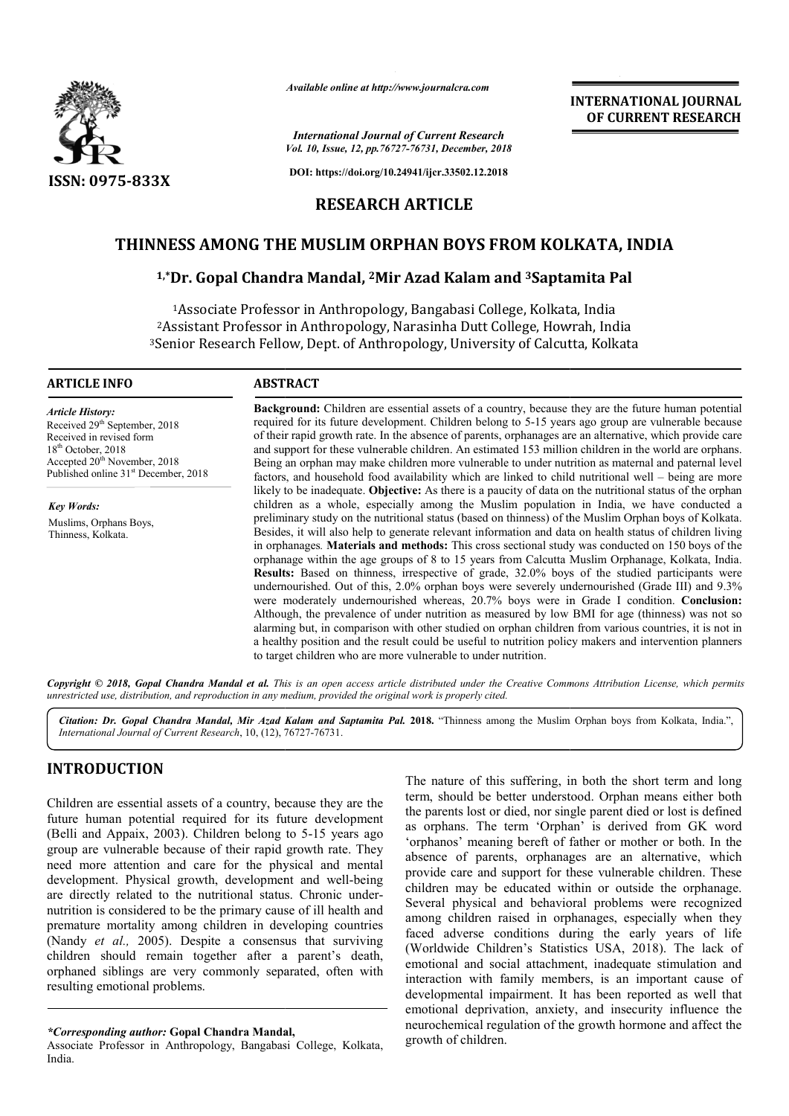

*Available online at http://www.journalcra.com*

*International Journal of Current Research Vol. 10, Issue, 12, pp.76727-76731, December, 2018*

**DOI: https://doi.org/10.24941/ijcr.33502.12.2018**

# **RESEARCH ARTICLE**

# THINNESS AMONG THE MUSLIM ORPHAN BOYS FROM KOLKATA, INDIA<br><sup>1,\*</sup>Dr. Gopal Chandra Mandal, <sup>2</sup>Mir Azad Kalam and <sup>3</sup>Saptamita Pal

# **1,\*Dr. Gopal Chandra Mandal, 2Mir Azad Kalam and 3Saptamita Pal**

1Associate Professor in Anthropology, Bangabasi College, Kolkata, India 2Assistant Professor in Anthropology, Narasinha Dutt College, Howrah, India <sup>2</sup> Assistant Professor in Anthropology, Narasinha Dutt College, Howrah, India<br><sup>3</sup> Senior Research Fellow, Dept. of Anthropology, University of Calcutta, Kolkata ociate Professor in Anthropology, Bangabasi College, Kolkata, India<br>ant Professor in Anthropology, Narasinha Dutt College, Howrah, India<br>Research Fellow, Dept. of Anthropology, University of Calcutta, Kolkat

#### **ARTICLE INFO ABSTRACT**

*Article History:* Received 29<sup>th</sup> September, 2018 Received in revised form 18th October, 2018 Accepted 20<sup>th</sup> November, 2018 Published online 31<sup>st</sup> December, 2018

*Key Words:* Muslims, Orphans Boys, Thinness, Kolkata.

**Background:**  Children are essential assets of a country, because they are the future human potential required for its future development. Children belong to 5 5-15 years ago group are vulnerable because **Background:** Children are essential assets of a country, because they are the future human potential required for its future development. Children belong to 5-15 years ago group are vulnerable because of their rapid growt and support for these vulnerable children. An estimated 153 million children in the world are orphans. Being an orphan may make children more vulnerable to under nutrition as maternal and paternal level factors, and household food availability which are linked to child nutritional well likely to be inadequate. **Objective:** As there is a paucity of data on the nutritional status of the orphan children as a whole, especially among the Muslim population in India, we have conducted a preliminary study on the nutritional status (based on thinness) of the Muslim Orphan boys of Kolkata. Besides, it will also help to generate relevant information and data on health status of children living in orphanages *.* **Materials and methods:** This cross sectional study was conducted on 150 boys of the orphanage within the age groups of 8 to 15 years from Calcutta Muslim Orphanage, Kolkata, India. **Results:**  Based on thinness, irrespective of grade, 32.0% boys of the studied participants were undernourished. Out of this, 2.0% orphan boys were severely undernourished (Grade III) and 9.3% were moderately undernourished whereas, 20.7% boys were in Grade I condition. Conclusion: Although, the prevalence of under nutrition as measured by low BMI for age (thinness) was not so alarming but, in comparison with other studied on orphan children from various countries, it is not in Although, the prevalence of under nutrition as measured by low BMI for age (thinness) was not so alarming but, in comparison with other studied on orphan children from various countries, it is not in a healthy position and to target children who are more vulnerable to under nutrition. and support for these vulnerable children. An estimated 153 million children in the world are orphans.<br>Being an orphan may make children more vulnerable to under nutrition as maternal and paternal level<br>factors, and househ likely to be inadequate. **Objective:** As there is a paucity of data on the nutritional status of the orphan children as a whole, especially among the Muslim population in India, we have conducted a preliminary study on the in orphanages. **Materials and methods:** This cross sectional study was conducted on 150 boys of the orphanage within the age groups of 8 to 15 years from Calcutta Muslim Orphanage, Kolkata, India. **Results:** Based on thinn **EXERVED ASSEMATE ASSEMATE CONSUMMATE CONSUMMATE CONSUMMATE CONSUMMATE CONSUMMATE CONSUMMATE CONSUMMATE CONSUMMATE CONSUMMATE CONSUMMATE CONSUMMATE CONSUMMATE CONSUMMATE CONSUMMATE CONSUMMATE CONSUMMATE CONSUMMATE CONSUMM** 

Copyright © 2018, Gopal Chandra Mandal et al. This is an open access article distributed under the Creative Commons Attribution License, which permits *unrestricted use, distribution, and reproduction in any medium, provided the original work is properly cited.*

Citation: Dr. Gopal Chandra Mandal, Mir Azad Kalam and Saptamita Pal. 2018. "Thinness among the Muslim Orphan boys from Kolkata, India.", *International Journal of Current Research*, 10, (12), 76727 76727-76731.

# **INTRODUCTION**

Children are essential assets of a country, because they are the future human potential required for its future development (Belli and Appaix, 2003). Children belong to 5 5-15 years ago group are vulnerable because of their rapid growth rate. They need more attention and care for the physical and mental development. Physical growth, development and well-being are directly related to the nutritional status. Chronic undernutrition is considered to be the primary cause of ill health and premature mortality among children in developing countries (Nandy *et al.,* 2005). Despite a consensus that surviving children should remain together after a parent's death, orphaned siblings are very commonly separated, often with resulting emotional problems.

The nature of this suffering, in both the short term and long term, should be better understood. Orphan means either both the parents lost or died, nor single parent died or lost is defined as orphans. The term 'Orphan' is derived from GK word 'orphanos' meaning bereft of father or mother or both. absence of parents, orphanages are an alternative, which provide care and support for these vulnerable children. These children may be educated within or outside the orphanage. Several physical and behavioral problems were recognized among children raised in orphanages, especially when they faced adverse conditions during the early years of life (Worldwide Children's Statistics USA, 2018). The lack of emotional and social attachment, inadequate stimulation and interaction with family members, is an important cause of developmental impairment. It has been reported as well that emotional deprivation, anxiety, and insecurity influence the neurochemical regulation of the growth hormone and affect the growth of children. f this suffering, in both the short term and long<br>be better understood. Orphan means either both<br>st or died, nor single parent died or lost is defined<br>The term 'Orphan' is derived from GK word<br>leaning bereft of father or m of parents, orphanages are an alternative, which care and support for these vulnerable children. These may be educated within or outside the orphanage. physical and behavioral problems were recognized

**INTERNATIONAL JOURNAL OF CURRENT RESEARCH**

*<sup>\*</sup>Corresponding author:* **Gopal Chandra Mandal Mandal,**

Associate Professor in Anthropology, Bangabasi College, Kolkata, India.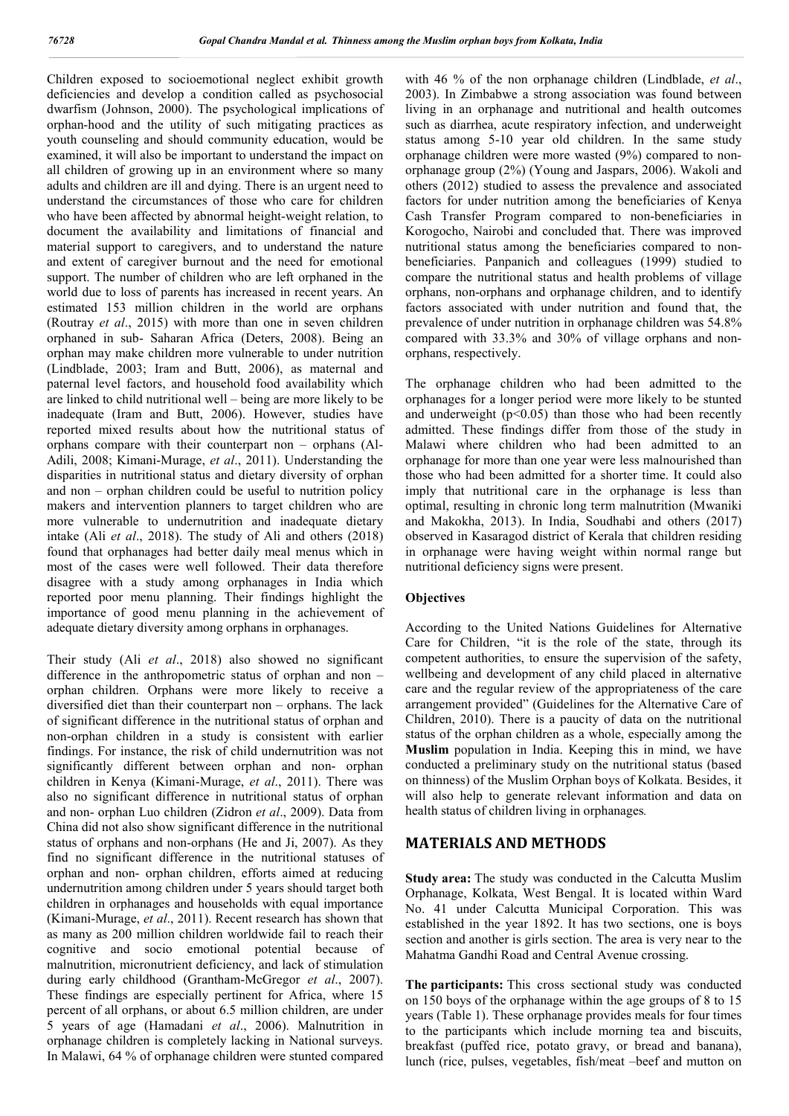Children exposed to socioemotional neglect exhibit growth deficiencies and develop a condition called as psychosocial dwarfism (Johnson, 2000). The psychological implications of orphan-hood and the utility of such mitigating practices as youth counseling and should community education, would be examined, it will also be important to understand the impact on all children of growing up in an environment where so many adults and children are ill and dying. There is an urgent need to understand the circumstances of those who care for children who have been affected by abnormal height-weight relation, to document the availability and limitations of financial and material support to caregivers, and to understand the nature and extent of caregiver burnout and the need for emotional support. The number of children who are left orphaned in the world due to loss of parents has increased in recent years. An estimated 153 million children in the world are orphans (Routray *et al*., 2015) with more than one in seven children orphaned in sub- Saharan Africa (Deters, 2008). Being an orphan may make children more vulnerable to under nutrition (Lindblade, 2003; Iram and Butt, 2006), as maternal and paternal level factors, and household food availability which are linked to child nutritional well – being are more likely to be inadequate (Iram and Butt, 2006). However, studies have reported mixed results about how the nutritional status of orphans compare with their counterpart non – orphans (Al-Adili, 2008; Kimani-Murage, *et al*., 2011). Understanding the disparities in nutritional status and dietary diversity of orphan and non – orphan children could be useful to nutrition policy makers and intervention planners to target children who are more vulnerable to undernutrition and inadequate dietary intake (Ali *et al*., 2018). The study of Ali and others (2018) found that orphanages had better daily meal menus which in most of the cases were well followed. Their data therefore disagree with a study among orphanages in India which reported poor menu planning. Their findings highlight the importance of good menu planning in the achievement of adequate dietary diversity among orphans in orphanages.

Their study (Ali *et al*., 2018) also showed no significant difference in the anthropometric status of orphan and non – orphan children. Orphans were more likely to receive a diversified diet than their counterpart non – orphans. The lack of significant difference in the nutritional status of orphan and non-orphan children in a study is consistent with earlier findings. For instance, the risk of child undernutrition was not significantly different between orphan and non- orphan children in Kenya (Kimani-Murage, *et al*., 2011). There was also no significant difference in nutritional status of orphan and non- orphan Luo children (Zidron *et al*., 2009). Data from China did not also show significant difference in the nutritional status of orphans and non-orphans (He and Ji, 2007). As they find no significant difference in the nutritional statuses of orphan and non- orphan children, efforts aimed at reducing undernutrition among children under 5 years should target both children in orphanages and households with equal importance (Kimani-Murage, *et al*., 2011). Recent research has shown that as many as 200 million children worldwide fail to reach their cognitive and socio emotional potential because of malnutrition, micronutrient deficiency, and lack of stimulation during early childhood (Grantham-McGregor *et al*., 2007). These findings are especially pertinent for Africa, where 15 percent of all orphans, or about 6.5 million children, are under 5 years of age (Hamadani *et al*., 2006). Malnutrition in orphanage children is completely lacking in National surveys. In Malawi, 64 % of orphanage children were stunted compared

with 46 % of the non orphanage children (Lindblade, *et al*., 2003). In Zimbabwe a strong association was found between living in an orphanage and nutritional and health outcomes such as diarrhea, acute respiratory infection, and underweight status among 5-10 year old children. In the same study orphanage children were more wasted (9%) compared to nonorphanage group (2%) (Young and Jaspars, 2006). Wakoli and others (2012) studied to assess the prevalence and associated factors for under nutrition among the beneficiaries of Kenya Cash Transfer Program compared to non-beneficiaries in Korogocho, Nairobi and concluded that. There was improved nutritional status among the beneficiaries compared to nonbeneficiaries. Panpanich and colleagues (1999) studied to compare the nutritional status and health problems of village orphans, non-orphans and orphanage children, and to identify factors associated with under nutrition and found that, the prevalence of under nutrition in orphanage children was 54.8% compared with 33.3% and 30% of village orphans and nonorphans, respectively.

The orphanage children who had been admitted to the orphanages for a longer period were more likely to be stunted and underweight  $(p<0.05)$  than those who had been recently admitted. These findings differ from those of the study in Malawi where children who had been admitted to an orphanage for more than one year were less malnourished than those who had been admitted for a shorter time. It could also imply that nutritional care in the orphanage is less than optimal, resulting in chronic long term malnutrition (Mwaniki and Makokha, 2013). In India, Soudhabi and others (2017) observed in Kasaragod district of Kerala that children residing in orphanage were having weight within normal range but nutritional deficiency signs were present.

#### **Objectives**

According to the United Nations Guidelines for Alternative Care for Children, "it is the role of the state, through its competent authorities, to ensure the supervision of the safety, wellbeing and development of any child placed in alternative care and the regular review of the appropriateness of the care arrangement provided" (Guidelines for the Alternative Care of Children, 2010). There is a paucity of data on the nutritional status of the orphan children as a whole, especially among the **Muslim** population in India. Keeping this in mind, we have conducted a preliminary study on the nutritional status (based on thinness) of the Muslim Orphan boys of Kolkata. Besides, it will also help to generate relevant information and data on health status of children living in orphanages*.* 

### **MATERIALS AND METHODS**

**Study area:** The study was conducted in the Calcutta Muslim Orphanage, Kolkata, West Bengal. It is located within Ward No. 41 under Calcutta Municipal Corporation. This was established in the year 1892. It has two sections, one is boys section and another is girls section. The area is very near to the Mahatma Gandhi Road and Central Avenue crossing.

**The participants:** This cross sectional study was conducted on 150 boys of the orphanage within the age groups of 8 to 15 years (Table 1). These orphanage provides meals for four times to the participants which include morning tea and biscuits, breakfast (puffed rice, potato gravy, or bread and banana), lunch (rice, pulses, vegetables, fish/meat –beef and mutton on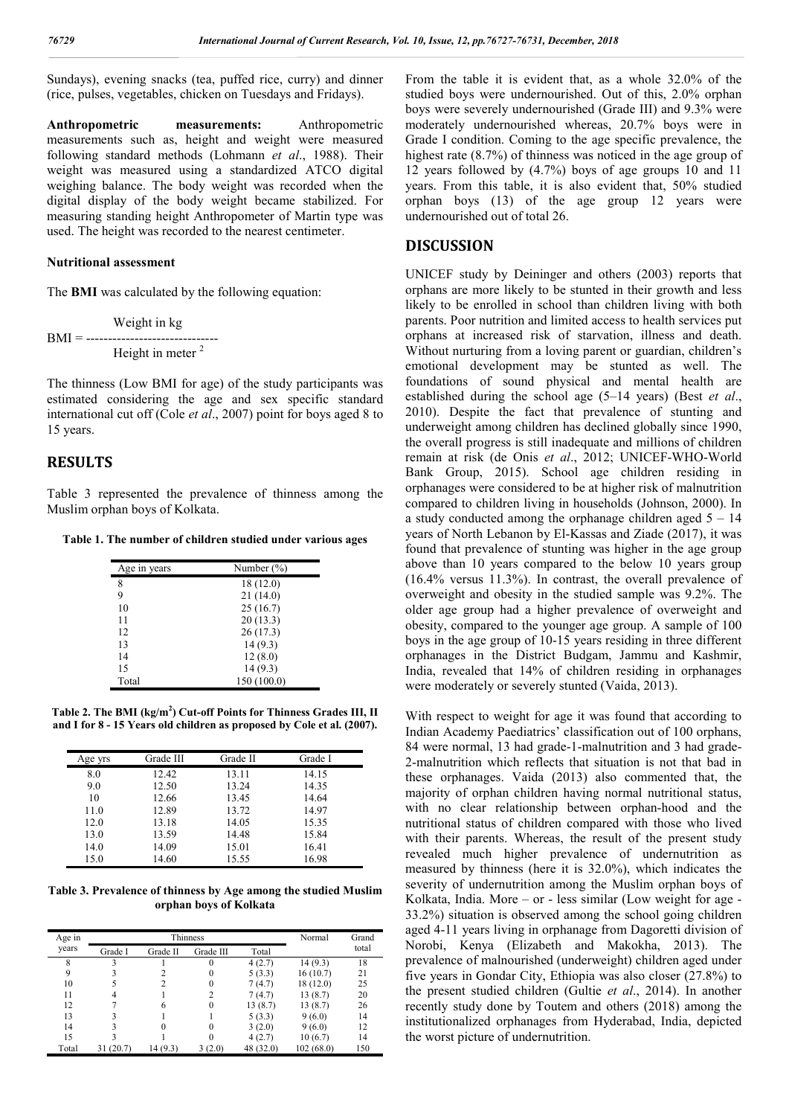Sundays), evening snacks (tea, puffed rice, curry) and dinner (rice, pulses, vegetables, chicken on Tuesdays and Fridays).

**Anthropometric measurements:** Anthropometric measurements such as, height and weight were measured following standard methods (Lohmann *et al*., 1988). Their weight was measured using a standardized ATCO digital weighing balance. The body weight was recorded when the digital display of the body weight became stabilized. For measuring standing height Anthropometer of Martin type was used. The height was recorded to the nearest centimeter.

#### **Nutritional assessment**

The **BMI** was calculated by the following equation:

 Weight in kg BMI = ------------------------------ Height in meter<sup>2</sup>

The thinness (Low BMI for age) of the study participants was estimated considering the age and sex specific standard international cut off (Cole *et al*., 2007) point for boys aged 8 to 15 years.

# **RESULTS**

Table 3 represented the prevalence of thinness among the Muslim orphan boys of Kolkata.

**Table 1. The number of children studied under various ages**

| Age in years | Number $(\% )$ |
|--------------|----------------|
| 8            | 18 (12.0)      |
| 9            | 21(14.0)       |
| 10           | 25(16.7)       |
| 11           | 20(13.3)       |
| 12           | 26 (17.3)      |
| 13           | 14(9.3)        |
| 14           | 12(8.0)        |
| 15           | 14(9.3)        |
| Total        | 150 (100.0)    |

**Table 2. The BMI (kg/m<sup>2</sup> ) Cut-off Points for Thinness Grades III, II and I for 8 - 15 Years old children as proposed by Cole et al. (2007).**

| Age yrs | Grade III | Grade II | Grade I |
|---------|-----------|----------|---------|
| 8.0     | 12.42     | 13.11    | 14.15   |
| 9.0     | 12.50     | 13.24    | 14.35   |
| 10      | 12.66     | 13.45    | 14.64   |
| 11.0    | 12.89     | 13.72    | 14.97   |
| 12.0    | 13.18     | 14.05    | 15.35   |
| 13.0    | 13.59     | 14.48    | 15.84   |
| 14.0    | 14.09     | 15.01    | 16.41   |
| 15.0    | 14.60     | 15.55    | 16.98   |

**Table 3. Prevalence of thinness by Age among the studied Muslim orphan boys of Kolkata**

| Age in |           | Thinness |           |           |           | Grand |
|--------|-----------|----------|-----------|-----------|-----------|-------|
| years  | Grade I   | Grade II | Grade III | Total     |           | total |
| 8      |           |          | 0         | 4(2.7)    | 14 (9.3)  | 18    |
| 9      |           |          | $_{0}$    | 5(3.3)    | 16(10.7)  | 21    |
| 10     |           |          | $\theta$  | 7(4.7)    | 18 (12.0) | 25    |
| 11     |           |          |           | 7(4.7)    | 13 (8.7)  | 20    |
| 12     |           |          | $\theta$  | 13(8.7)   | 13(8.7)   | 26    |
| 13     |           |          |           | 5(3.3)    | 9(6.0)    | 14    |
| 14     |           |          | 0         | 3(2.0)    | 9(6.0)    | 12    |
| 15     |           |          |           | 4(2.7)    | 10(6.7)   | 14    |
| Total  | 31 (20.7) | 14 (9.3) | 3(2.0)    | 48 (32.0) | 102(68.0) | 150   |

From the table it is evident that, as a whole 32.0% of the studied boys were undernourished. Out of this, 2.0% orphan boys were severely undernourished (Grade III) and 9.3% were moderately undernourished whereas, 20.7% boys were in Grade I condition. Coming to the age specific prevalence, the highest rate (8.7%) of thinness was noticed in the age group of 12 years followed by (4.7%) boys of age groups 10 and 11 years. From this table, it is also evident that, 50% studied orphan boys (13) of the age group 12 years were undernourished out of total 26.

## **DISCUSSION**

UNICEF study by Deininger and others (2003) reports that orphans are more likely to be stunted in their growth and less likely to be enrolled in school than children living with both parents. Poor nutrition and limited access to health services put orphans at increased risk of starvation, illness and death. Without nurturing from a loving parent or guardian, children's emotional development may be stunted as well. The foundations of sound physical and mental health are established during the school age (5–14 years) (Best *et al*., 2010). Despite the fact that prevalence of stunting and underweight among children has declined globally since 1990, the overall progress is still inadequate and millions of children remain at risk (de Onis *et al*., 2012; UNICEF-WHO-World Bank Group, 2015). School age children residing in orphanages were considered to be at higher risk of malnutrition compared to children living in households (Johnson, 2000). In a study conducted among the orphanage children aged 5 – 14 years of North Lebanon by El-Kassas and Ziade (2017), it was found that prevalence of stunting was higher in the age group above than 10 years compared to the below 10 years group (16.4% versus 11.3%). In contrast, the overall prevalence of overweight and obesity in the studied sample was 9.2%. The older age group had a higher prevalence of overweight and obesity, compared to the younger age group. A sample of 100 boys in the age group of 10-15 years residing in three different orphanages in the District Budgam, Jammu and Kashmir, India, revealed that 14% of children residing in orphanages were moderately or severely stunted (Vaida, 2013).

With respect to weight for age it was found that according to Indian Academy Paediatrics' classification out of 100 orphans, 84 were normal, 13 had grade-1-malnutrition and 3 had grade-2-malnutrition which reflects that situation is not that bad in these orphanages. Vaida (2013) also commented that, the majority of orphan children having normal nutritional status, with no clear relationship between orphan-hood and the nutritional status of children compared with those who lived with their parents. Whereas, the result of the present study revealed much higher prevalence of undernutrition as measured by thinness (here it is 32.0%), which indicates the severity of undernutrition among the Muslim orphan boys of Kolkata, India. More – or - less similar (Low weight for age - 33.2%) situation is observed among the school going children aged 4-11 years living in orphanage from Dagoretti division of Norobi, Kenya (Elizabeth and Makokha, 2013). The prevalence of malnourished (underweight) children aged under five years in Gondar City, Ethiopia was also closer (27.8%) to the present studied children (Gultie *et al*., 2014). In another recently study done by Toutem and others (2018) among the institutionalized orphanages from Hyderabad, India, depicted the worst picture of undernutrition.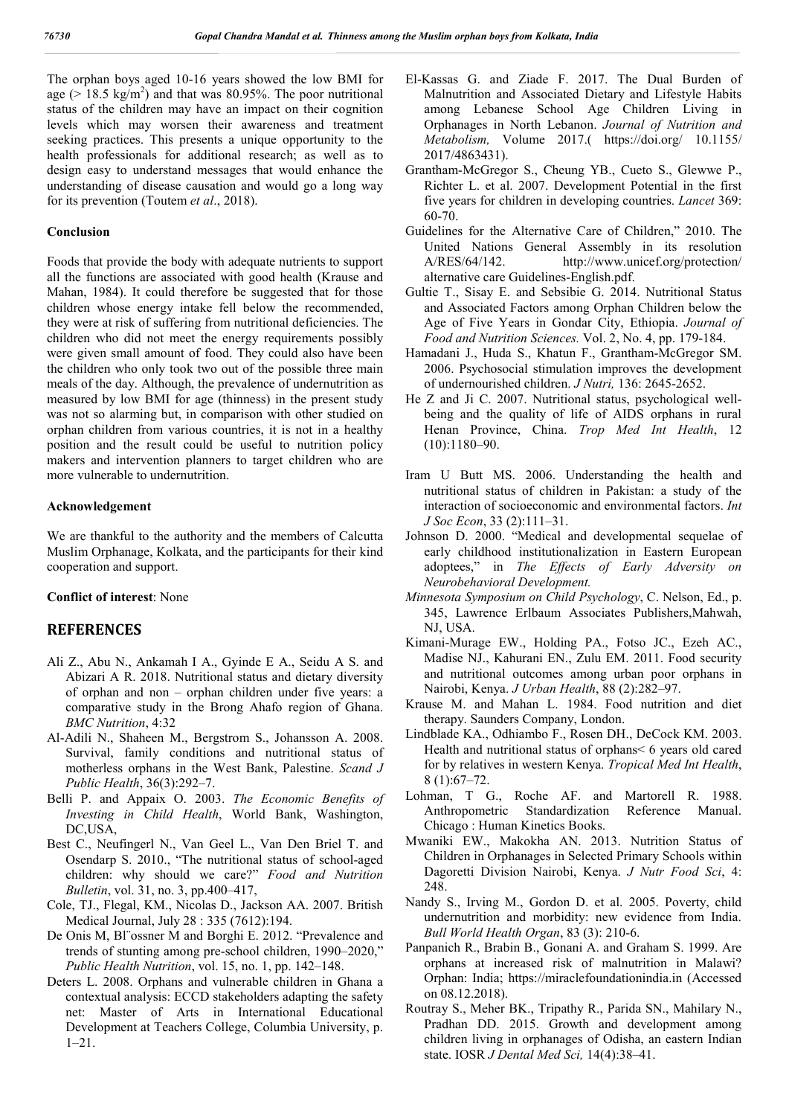The orphan boys aged 10-16 years showed the low BMI for age ( $> 18.5 \text{ kg/m}^2$ ) and that was 80.95%. The poor nutritional status of the children may have an impact on their cognition levels which may worsen their awareness and treatment seeking practices. This presents a unique opportunity to the health professionals for additional research; as well as to design easy to understand messages that would enhance the understanding of disease causation and would go a long way for its prevention (Toutem *et al*., 2018).

#### **Conclusion**

Foods that provide the body with adequate nutrients to support all the functions are associated with good health (Krause and Mahan, 1984). It could therefore be suggested that for those children whose energy intake fell below the recommended, they were at risk of suffering from nutritional deficiencies. The children who did not meet the energy requirements possibly were given small amount of food. They could also have been the children who only took two out of the possible three main meals of the day. Although, the prevalence of undernutrition as measured by low BMI for age (thinness) in the present study was not so alarming but, in comparison with other studied on orphan children from various countries, it is not in a healthy position and the result could be useful to nutrition policy makers and intervention planners to target children who are more vulnerable to undernutrition.

#### **Acknowledgement**

We are thankful to the authority and the members of Calcutta Muslim Orphanage, Kolkata, and the participants for their kind cooperation and support.

#### **Conflict of interest**: None

# **REFERENCES**

- Ali Z., Abu N., Ankamah I A., Gyinde E A., Seidu A S. and Abizari A R. 2018. Nutritional status and dietary diversity of orphan and non – orphan children under five years: a comparative study in the Brong Ahafo region of Ghana. *BMC Nutrition*, 4:32
- Al-Adili N., Shaheen M., Bergstrom S., Johansson A. 2008. Survival, family conditions and nutritional status of motherless orphans in the West Bank, Palestine. *Scand J Public Health*, 36(3):292–7.
- Belli P. and Appaix O. 2003. *The Economic Benefits of Investing in Child Health*, World Bank, Washington, DC,USA,
- Best C., Neufingerl N., Van Geel L., Van Den Briel T. and Osendarp S. 2010., "The nutritional status of school-aged children: why should we care?" *Food and Nutrition Bulletin*, vol. 31, no. 3, pp.400–417,
- Cole, TJ., Flegal, KM., Nicolas D., Jackson AA. 2007. British Medical Journal, July 28 : 335 (7612):194.
- De Onis M, Bl¨ossner M and Borghi E. 2012. "Prevalence and trends of stunting among pre-school children, 1990–2020," *Public Health Nutrition*, vol. 15, no. 1, pp. 142–148.
- Deters L. 2008. Orphans and vulnerable children in Ghana a contextual analysis: ECCD stakeholders adapting the safety net: Master of Arts in International Educational Development at Teachers College, Columbia University, p. 1–21.
- El-Kassas G. and Ziade F. 2017. The Dual Burden of Malnutrition and Associated Dietary and Lifestyle Habits among Lebanese School Age Children Living in Orphanages in North Lebanon. *Journal of Nutrition and Metabolism,* Volume 2017.( https://doi.org/ 10.1155/ 2017/4863431).
- Grantham-McGregor S., Cheung YB., Cueto S., Glewwe P., Richter L. et al. 2007. Development Potential in the first five years for children in developing countries. *Lancet* 369: 60-70.
- Guidelines for the Alternative Care of Children," 2010. The United Nations General Assembly in its resolution A/RES/64/142. http://www.unicef.org/protection/ alternative care Guidelines-English.pdf.
- Gultie T., Sisay E. and Sebsibie G. 2014. Nutritional Status and Associated Factors among Orphan Children below the Age of Five Years in Gondar City, Ethiopia. *Journal of Food and Nutrition Sciences.* Vol. 2, No. 4, pp. 179-184.
- Hamadani J., Huda S., Khatun F., Grantham-McGregor SM. 2006. Psychosocial stimulation improves the development of undernourished children. *J Nutri,* 136: 2645-2652.
- He Z and Ji C. 2007. Nutritional status, psychological wellbeing and the quality of life of AIDS orphans in rural Henan Province, China. *Trop Med Int Health*, 12  $(10):1180-90.$
- Iram U Butt MS. 2006. Understanding the health and nutritional status of children in Pakistan: a study of the interaction of socioeconomic and environmental factors. *Int J Soc Econ*, 33 (2):111–31.
- Johnson D. 2000. "Medical and developmental sequelae of early childhood institutionalization in Eastern European adoptees," in *The Effects of Early Adversity on Neurobehavioral Development.*
- *Minnesota Symposium on Child Psychology*, C. Nelson, Ed., p. 345, Lawrence Erlbaum Associates Publishers,Mahwah, NJ, USA.
- Kimani-Murage EW., Holding PA., Fotso JC., Ezeh AC., Madise NJ., Kahurani EN., Zulu EM. 2011. Food security and nutritional outcomes among urban poor orphans in Nairobi, Kenya. *J Urban Health*, 88 (2):282–97.
- Krause M. and Mahan L. 1984. Food nutrition and diet therapy. Saunders Company, London.
- Lindblade KA., Odhiambo F., Rosen DH., DeCock KM. 2003. Health and nutritional status of orphans< 6 years old cared for by relatives in western Kenya. *Tropical Med Int Health*, 8 (1):67–72.
- Lohman, T G., Roche AF. and Martorell R. 1988. Anthropometric Standardization Reference Manual. Chicago : Human Kinetics Books.
- Mwaniki EW., Makokha AN. 2013. Nutrition Status of Children in Orphanages in Selected Primary Schools within Dagoretti Division Nairobi, Kenya. *J Nutr Food Sci*, 4: 248.
- Nandy S., Irving M., Gordon D. et al. 2005. Poverty, child undernutrition and morbidity: new evidence from India. *Bull World Health Organ*, 83 (3): 210‐6.
- Panpanich R., Brabin B., Gonani A. and Graham S. 1999. Are orphans at increased risk of malnutrition in Malawi? Orphan: India; https://miraclefoundationindia.in (Accessed on 08.12.2018).
- Routray S., Meher BK., Tripathy R., Parida SN., Mahilary N., Pradhan DD. 2015. Growth and development among children living in orphanages of Odisha, an eastern Indian state. IOSR *J Dental Med Sci,* 14(4):38–41.